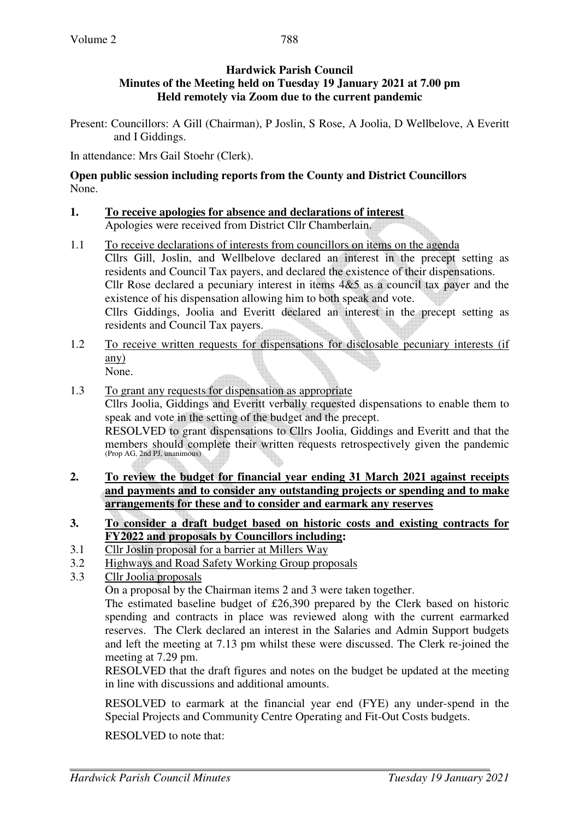## **Hardwick Parish Council Minutes of the Meeting held on Tuesday 19 January 2021 at 7.00 pm Held remotely via Zoom due to the current pandemic**

Present: Councillors: A Gill (Chairman), P Joslin, S Rose, A Joolia, D Wellbelove, A Everitt and I Giddings.

In attendance: Mrs Gail Stoehr (Clerk).

**Open public session including reports from the County and District Councillors**  None.

- **1. To receive apologies for absence and declarations of interest** Apologies were received from District Cllr Chamberlain.
- 1.1 To receive declarations of interests from councillors on items on the agenda Cllrs Gill, Joslin, and Wellbelove declared an interest in the precept setting as residents and Council Tax payers, and declared the existence of their dispensations. Cllr Rose declared a pecuniary interest in items 4&5 as a council tax payer and the existence of his dispensation allowing him to both speak and vote. Cllrs Giddings, Joolia and Everitt declared an interest in the precept setting as residents and Council Tax payers.
- 1.2 To receive written requests for dispensations for disclosable pecuniary interests (if any) None.
- 1.3 To grant any requests for dispensation as appropriate Cllrs Joolia, Giddings and Everitt verbally requested dispensations to enable them to speak and vote in the setting of the budget and the precept. RESOLVED to grant dispensations to Cllrs Joolia, Giddings and Everitt and that the members should complete their written requests retrospectively given the pandemic (Prop AG, 2nd PJ, unanimous)
- **2. To review the budget for financial year ending 31 March 2021 against receipts and payments and to consider any outstanding projects or spending and to make arrangements for these and to consider and earmark any reserves**
- **3. To consider a draft budget based on historic costs and existing contracts for FY2022 and proposals by Councillors including:**
- 3.1 Cllr Joslin proposal for a barrier at Millers Way
- 3.2 Highways and Road Safety Working Group proposals
- 3.3 Cllr Joolia proposals

On a proposal by the Chairman items 2 and 3 were taken together.

The estimated baseline budget of £26,390 prepared by the Clerk based on historic spending and contracts in place was reviewed along with the current earmarked reserves. The Clerk declared an interest in the Salaries and Admin Support budgets and left the meeting at 7.13 pm whilst these were discussed. The Clerk re-joined the meeting at 7.29 pm.

RESOLVED that the draft figures and notes on the budget be updated at the meeting in line with discussions and additional amounts.

RESOLVED to earmark at the financial year end (FYE) any under-spend in the Special Projects and Community Centre Operating and Fit-Out Costs budgets.

RESOLVED to note that: